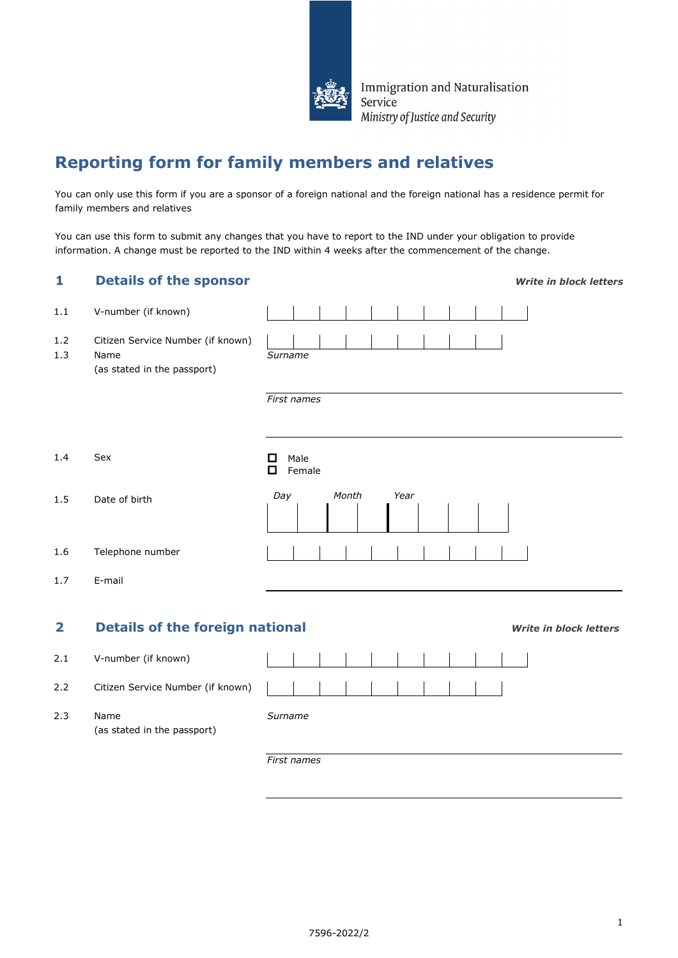

Immigration and Naturalisation Service Ministry of Justice and Security

# **Reporting form for family members and relatives**

You can only use this form if you are a sponsor of a foreign national and the foreign national has a residence permit for family members and relatives

You can use this form to submit any changes that you have to report to the IND under your obligation to provide information. A change must be reported to the IND within 4 weeks after the commencement of the change.

| 1            | <b>Details of the sponsor</b>                                            | <b>Write in block letters</b> |  |  |  |  |  |
|--------------|--------------------------------------------------------------------------|-------------------------------|--|--|--|--|--|
| 1.1          | V-number (if known)                                                      |                               |  |  |  |  |  |
| 1.2<br>1.3   | Citizen Service Number (if known)<br>Name<br>(as stated in the passport) | Surname                       |  |  |  |  |  |
|              |                                                                          | First names                   |  |  |  |  |  |
| 1.4          | Sex                                                                      | Male<br>П<br>О<br>Female      |  |  |  |  |  |
| 1.5          | Date of birth                                                            | Day<br>Month<br>Year          |  |  |  |  |  |
| 1.6          | Telephone number                                                         |                               |  |  |  |  |  |
| 1.7          | E-mail                                                                   |                               |  |  |  |  |  |
| $\mathbf{2}$ | <b>Details of the foreign national</b><br><b>Write in block letters</b>  |                               |  |  |  |  |  |
| 2.1          | V-number (if known)                                                      |                               |  |  |  |  |  |
| 2.2          | Citizen Service Number (if known)                                        |                               |  |  |  |  |  |
| 2.3          | Name<br>(as stated in the passport)                                      | Surname                       |  |  |  |  |  |
|              |                                                                          | First names                   |  |  |  |  |  |

7596-2022/2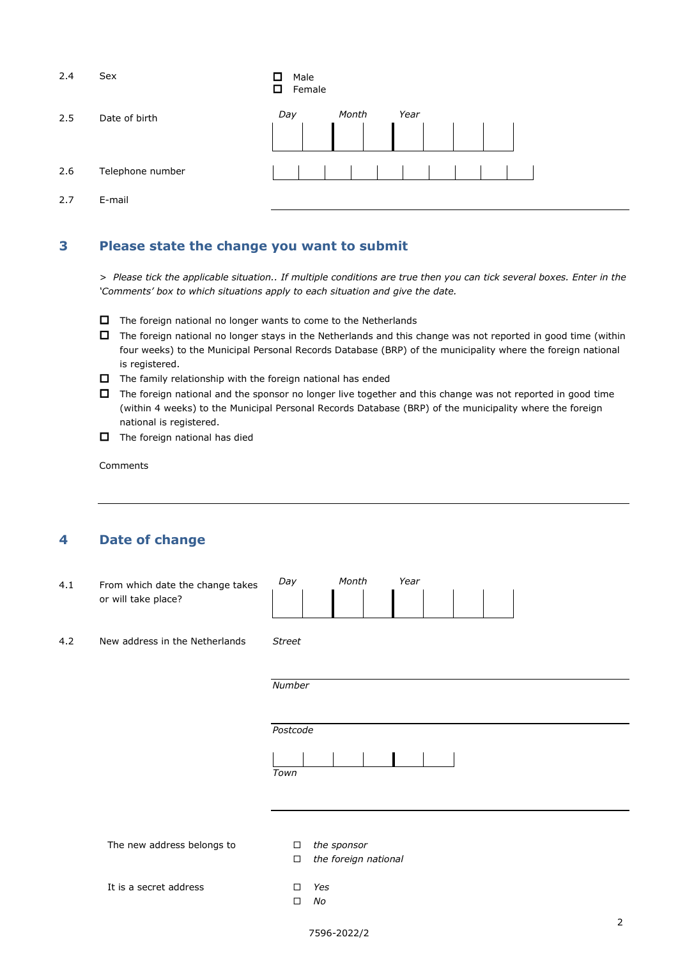| 2.4 | Sex              | ◻<br>Male<br>Female<br>◻ |  |       |  |      |  |  |  |  |  |
|-----|------------------|--------------------------|--|-------|--|------|--|--|--|--|--|
| 2.5 | Date of birth    | Day                      |  | Month |  | Year |  |  |  |  |  |
|     |                  |                          |  |       |  |      |  |  |  |  |  |
| 2.6 | Telephone number |                          |  |       |  |      |  |  |  |  |  |
| 2.7 | E-mail           |                          |  |       |  |      |  |  |  |  |  |

### **3 Please state the change you want to submit**

*> Please tick the applicable situation.. If multiple conditions are true then you can tick several boxes. Enter in the 'Comments' box to which situations apply to each situation and give the date.*

- $\Box$  The foreign national no longer wants to come to the Netherlands
- The foreign national no longer stays in the Netherlands and this change was not reported in good time (within four weeks) to the Municipal Personal Records Database (BRP) of the municipality where the foreign national is registered.
- $\Box$  The family relationship with the foreign national has ended
- $\Box$  The foreign national and the sponsor no longer live together and this change was not reported in good time (within 4 weeks) to the Municipal Personal Records Database (BRP) of the municipality where the foreign national is registered.
- $\Box$  The foreign national has died

Comments

### **4 Date of change**

| 4.1 | From which date the change takes<br>or will take place? | Day<br>Month<br>Year                                    |
|-----|---------------------------------------------------------|---------------------------------------------------------|
| 4.2 | New address in the Netherlands                          | <b>Street</b>                                           |
|     |                                                         | Number                                                  |
|     |                                                         | Postcode                                                |
|     |                                                         | Town                                                    |
|     | The new address belongs to                              | the sponsor<br>$\Box$<br>the foreign national<br>$\Box$ |
|     | It is a secret address                                  | Yes<br>$\Box$<br>No<br>$\Box$                           |
|     |                                                         | 7596-2022/2                                             |

2